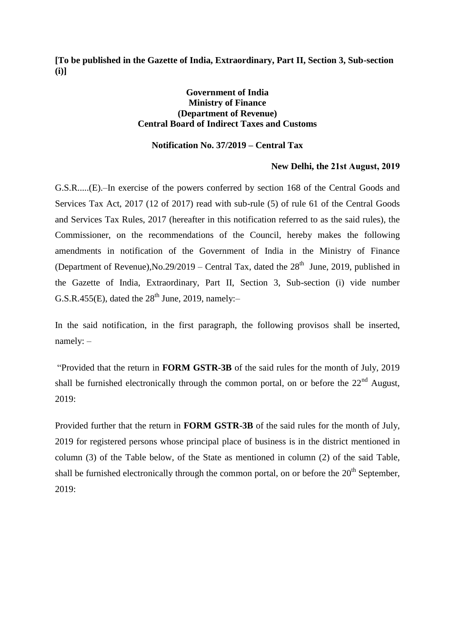**[To be published in the Gazette of India, Extraordinary, Part II, Section 3, Sub-section (i)]**

## **Government of India Ministry of Finance (Department of Revenue) Central Board of Indirect Taxes and Customs**

## **Notification No. 37/2019 – Central Tax**

## **New Delhi, the 21st August, 2019**

G.S.R.....(E).–In exercise of the powers conferred by section 168 of the Central Goods and Services Tax Act, 2017 (12 of 2017) read with sub-rule (5) of rule 61 of the Central Goods and Services Tax Rules, 2017 (hereafter in this notification referred to as the said rules), the Commissioner, on the recommendations of the Council, hereby makes the following amendments in notification of the Government of India in the Ministry of Finance (Department of Revenue), No.29/2019 – Central Tax, dated the  $28<sup>th</sup>$  June, 2019, published in the Gazette of India, Extraordinary, Part II, Section 3, Sub-section (i) vide number G.S.R.455(E), dated the  $28<sup>th</sup>$  June, 2019, namely:-

In the said notification, in the first paragraph, the following provisos shall be inserted, namely: –

"Provided that the return in **FORM GSTR-3B** of the said rules for the month of July, 2019 shall be furnished electronically through the common portal, on or before the  $22<sup>nd</sup>$  August, 2019:

Provided further that the return in **FORM GSTR-3B** of the said rules for the month of July, 2019 for registered persons whose principal place of business is in the district mentioned in column (3) of the Table below, of the State as mentioned in column (2) of the said Table, shall be furnished electronically through the common portal, on or before the  $20<sup>th</sup>$  September, 2019: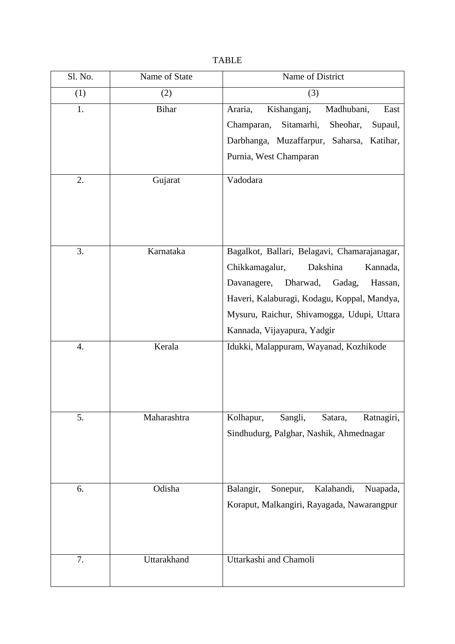| Sl. No. | Name of State | Name of District                                                                              |
|---------|---------------|-----------------------------------------------------------------------------------------------|
| (1)     | (2)           | (3)                                                                                           |
| 1.      | <b>Bihar</b>  | Araria,<br>Kishanganj,<br>Madhubani,<br>East                                                  |
|         |               | Sitamarhi,<br>Sheohar,<br>Champaran,<br>Supaul,                                               |
|         |               | Darbhanga, Muzaffarpur, Saharsa, Katihar,                                                     |
|         |               | Purnia, West Champaran                                                                        |
| 2.      | Gujarat       | Vadodara                                                                                      |
| 3.      | Karnataka     | Bagalkot, Ballari, Belagavi, Chamarajanagar,                                                  |
|         |               | Chikkamagalur,<br>Dakshina<br>Kannada,                                                        |
|         |               | Davanagere,<br>Dharwad,<br>Gadag,<br>Hassan,                                                  |
|         |               | Haveri, Kalaburagi, Kodagu, Koppal, Mandya,                                                   |
|         |               | Mysuru, Raichur, Shivamogga, Udupi, Uttara                                                    |
|         |               | Kannada, Vijayapura, Yadgir                                                                   |
| 4.      | Kerala        | Idukki, Malappuram, Wayanad, Kozhikode                                                        |
| 5.      | Maharashtra   | Kolhapur,<br>Sangli,<br>Satara,<br>Ratnagiri,<br>Sindhudurg, Palghar, Nashik, Ahmednagar      |
| 6.      | Odisha        | Balangir,<br>Kalahandi,<br>Sonepur,<br>Nuapada,<br>Koraput, Malkangiri, Rayagada, Nawarangpur |
| 7.      | Uttarakhand   | Uttarkashi and Chamoli                                                                        |

## TABLE